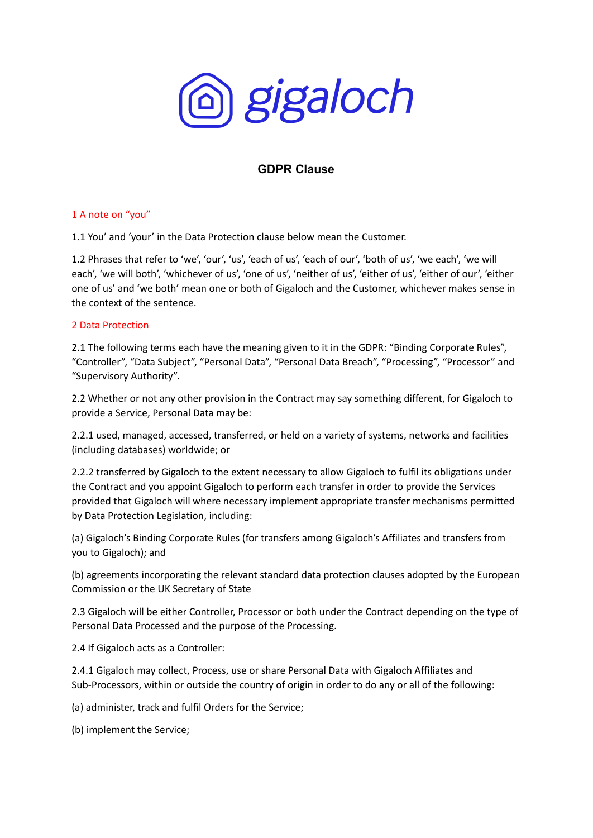

# **GDPR Clause**

## 1 A note on "you"

1.1 You' and 'your' in the Data Protection clause below mean the Customer.

1.2 Phrases that refer to 'we', 'our', 'us', 'each of us', 'each of our', 'both of us', 'we each', 'we will each', 'we will both', 'whichever of us', 'one of us', 'neither of us', 'either of us', 'either of our', 'either one of us' and 'we both' mean one or both of Gigaloch and the Customer, whichever makes sense in the context of the sentence.

## 2 Data Protection

2.1 The following terms each have the meaning given to it in the GDPR: "Binding Corporate Rules", "Controller", "Data Subject", "Personal Data", "Personal Data Breach", "Processing", "Processor" and "Supervisory Authority".

2.2 Whether or not any other provision in the Contract may say something different, for Gigaloch to provide a Service, Personal Data may be:

2.2.1 used, managed, accessed, transferred, or held on a variety of systems, networks and facilities (including databases) worldwide; or

2.2.2 transferred by Gigaloch to the extent necessary to allow Gigaloch to fulfil its obligations under the Contract and you appoint Gigaloch to perform each transfer in order to provide the Services provided that Gigaloch will where necessary implement appropriate transfer mechanisms permitted by Data Protection Legislation, including:

(a) Gigaloch's Binding Corporate Rules (for transfers among Gigaloch's Affiliates and transfers from you to Gigaloch); and

(b) agreements incorporating the relevant standard data protection clauses adopted by the European Commission or the UK Secretary of State

2.3 Gigaloch will be either Controller, Processor or both under the Contract depending on the type of Personal Data Processed and the purpose of the Processing.

2.4 If Gigaloch acts as a Controller:

2.4.1 Gigaloch may collect, Process, use or share Personal Data with Gigaloch Affiliates and Sub-Processors, within or outside the country of origin in order to do any or all of the following:

(a) administer, track and fulfil Orders for the Service;

(b) implement the Service;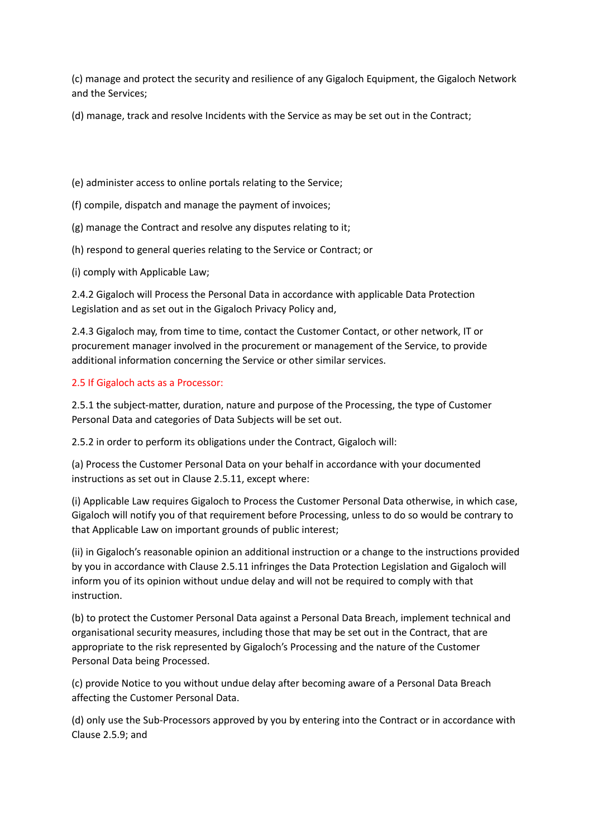(c) manage and protect the security and resilience of any Gigaloch Equipment, the Gigaloch Network and the Services;

(d) manage, track and resolve Incidents with the Service as may be set out in the Contract;

(e) administer access to online portals relating to the Service;

- (f) compile, dispatch and manage the payment of invoices;
- (g) manage the Contract and resolve any disputes relating to it;
- (h) respond to general queries relating to the Service or Contract; or
- (i) comply with Applicable Law;

2.4.2 Gigaloch will Process the Personal Data in accordance with applicable Data Protection Legislation and as set out in the Gigaloch Privacy Policy and,

2.4.3 Gigaloch may, from time to time, contact the Customer Contact, or other network, IT or procurement manager involved in the procurement or management of the Service, to provide additional information concerning the Service or other similar services.

## 2.5 If Gigaloch acts as a Processor:

2.5.1 the subject-matter, duration, nature and purpose of the Processing, the type of Customer Personal Data and categories of Data Subjects will be set out.

2.5.2 in order to perform its obligations under the Contract, Gigaloch will:

(a) Process the Customer Personal Data on your behalf in accordance with your documented instructions as set out in Clause 2.5.11, except where:

(i) Applicable Law requires Gigaloch to Process the Customer Personal Data otherwise, in which case, Gigaloch will notify you of that requirement before Processing, unless to do so would be contrary to that Applicable Law on important grounds of public interest;

(ii) in Gigaloch's reasonable opinion an additional instruction or a change to the instructions provided by you in accordance with Clause 2.5.11 infringes the Data Protection Legislation and Gigaloch will inform you of its opinion without undue delay and will not be required to comply with that instruction.

(b) to protect the Customer Personal Data against a Personal Data Breach, implement technical and organisational security measures, including those that may be set out in the Contract, that are appropriate to the risk represented by Gigaloch's Processing and the nature of the Customer Personal Data being Processed.

(c) provide Notice to you without undue delay after becoming aware of a Personal Data Breach affecting the Customer Personal Data.

(d) only use the Sub-Processors approved by you by entering into the Contract or in accordance with Clause 2.5.9; and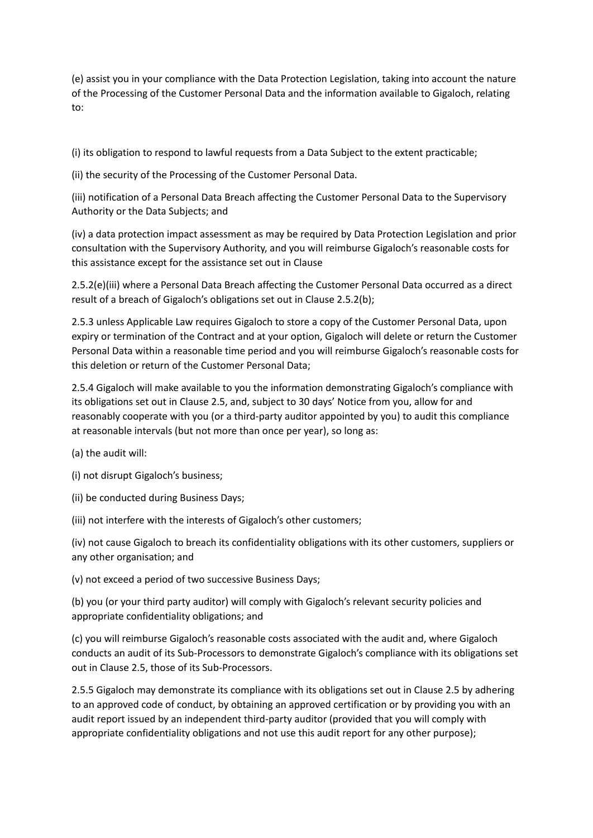(e) assist you in your compliance with the Data Protection Legislation, taking into account the nature of the Processing of the Customer Personal Data and the information available to Gigaloch, relating to:

(i) its obligation to respond to lawful requests from a Data Subject to the extent practicable;

(ii) the security of the Processing of the Customer Personal Data.

(iii) notification of a Personal Data Breach affecting the Customer Personal Data to the Supervisory Authority or the Data Subjects; and

(iv) a data protection impact assessment as may be required by Data Protection Legislation and prior consultation with the Supervisory Authority, and you will reimburse Gigaloch's reasonable costs for this assistance except for the assistance set out in Clause

2.5.2(e)(iii) where a Personal Data Breach affecting the Customer Personal Data occurred as a direct result of a breach of Gigaloch's obligations set out in Clause 2.5.2(b);

2.5.3 unless Applicable Law requires Gigaloch to store a copy of the Customer Personal Data, upon expiry or termination of the Contract and at your option, Gigaloch will delete or return the Customer Personal Data within a reasonable time period and you will reimburse Gigaloch's reasonable costs for this deletion or return of the Customer Personal Data;

2.5.4 Gigaloch will make available to you the information demonstrating Gigaloch's compliance with its obligations set out in Clause 2.5, and, subject to 30 days' Notice from you, allow for and reasonably cooperate with you (or a third-party auditor appointed by you) to audit this compliance at reasonable intervals (but not more than once per year), so long as:

(a) the audit will:

(i) not disrupt Gigaloch's business;

(ii) be conducted during Business Days;

(iii) not interfere with the interests of Gigaloch's other customers;

(iv) not cause Gigaloch to breach its confidentiality obligations with its other customers, suppliers or any other organisation; and

(v) not exceed a period of two successive Business Days;

(b) you (or your third party auditor) will comply with Gigaloch's relevant security policies and appropriate confidentiality obligations; and

(c) you will reimburse Gigaloch's reasonable costs associated with the audit and, where Gigaloch conducts an audit of its Sub-Processors to demonstrate Gigaloch's compliance with its obligations set out in Clause 2.5, those of its Sub-Processors.

2.5.5 Gigaloch may demonstrate its compliance with its obligations set out in Clause 2.5 by adhering to an approved code of conduct, by obtaining an approved certification or by providing you with an audit report issued by an independent third-party auditor (provided that you will comply with appropriate confidentiality obligations and not use this audit report for any other purpose);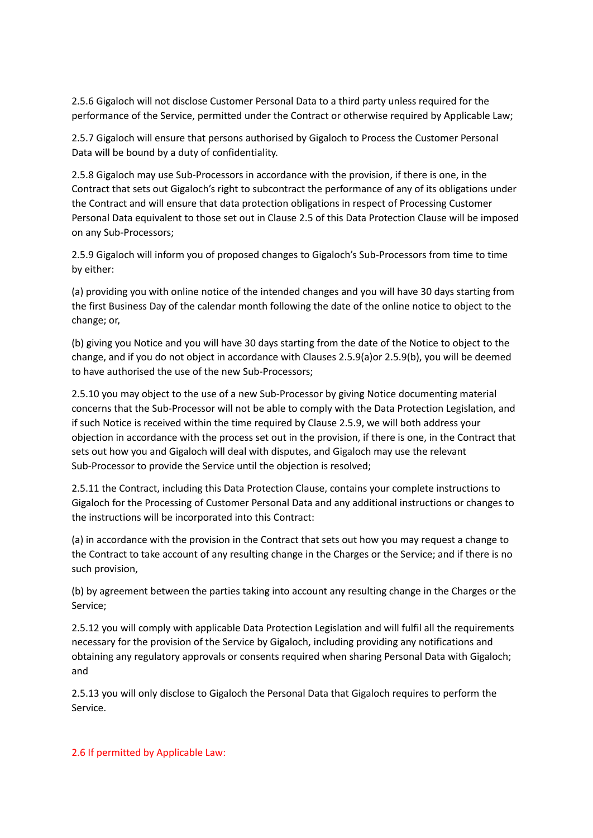2.5.6 Gigaloch will not disclose Customer Personal Data to a third party unless required for the performance of the Service, permitted under the Contract or otherwise required by Applicable Law;

2.5.7 Gigaloch will ensure that persons authorised by Gigaloch to Process the Customer Personal Data will be bound by a duty of confidentiality.

2.5.8 Gigaloch may use Sub-Processors in accordance with the provision, if there is one, in the Contract that sets out Gigaloch's right to subcontract the performance of any of its obligations under the Contract and will ensure that data protection obligations in respect of Processing Customer Personal Data equivalent to those set out in Clause 2.5 of this Data Protection Clause will be imposed on any Sub-Processors;

2.5.9 Gigaloch will inform you of proposed changes to Gigaloch's Sub-Processors from time to time by either:

(a) providing you with online notice of the intended changes and you will have 30 days starting from the first Business Day of the calendar month following the date of the online notice to object to the change; or,

(b) giving you Notice and you will have 30 days starting from the date of the Notice to object to the change, and if you do not object in accordance with Clauses 2.5.9(a)or 2.5.9(b), you will be deemed to have authorised the use of the new Sub-Processors;

2.5.10 you may object to the use of a new Sub-Processor by giving Notice documenting material concerns that the Sub-Processor will not be able to comply with the Data Protection Legislation, and if such Notice is received within the time required by Clause 2.5.9, we will both address your objection in accordance with the process set out in the provision, if there is one, in the Contract that sets out how you and Gigaloch will deal with disputes, and Gigaloch may use the relevant Sub-Processor to provide the Service until the objection is resolved;

2.5.11 the Contract, including this Data Protection Clause, contains your complete instructions to Gigaloch for the Processing of Customer Personal Data and any additional instructions or changes to the instructions will be incorporated into this Contract:

(a) in accordance with the provision in the Contract that sets out how you may request a change to the Contract to take account of any resulting change in the Charges or the Service; and if there is no such provision,

(b) by agreement between the parties taking into account any resulting change in the Charges or the Service;

2.5.12 you will comply with applicable Data Protection Legislation and will fulfil all the requirements necessary for the provision of the Service by Gigaloch, including providing any notifications and obtaining any regulatory approvals or consents required when sharing Personal Data with Gigaloch; and

2.5.13 you will only disclose to Gigaloch the Personal Data that Gigaloch requires to perform the Service.

### 2.6 If permitted by Applicable Law: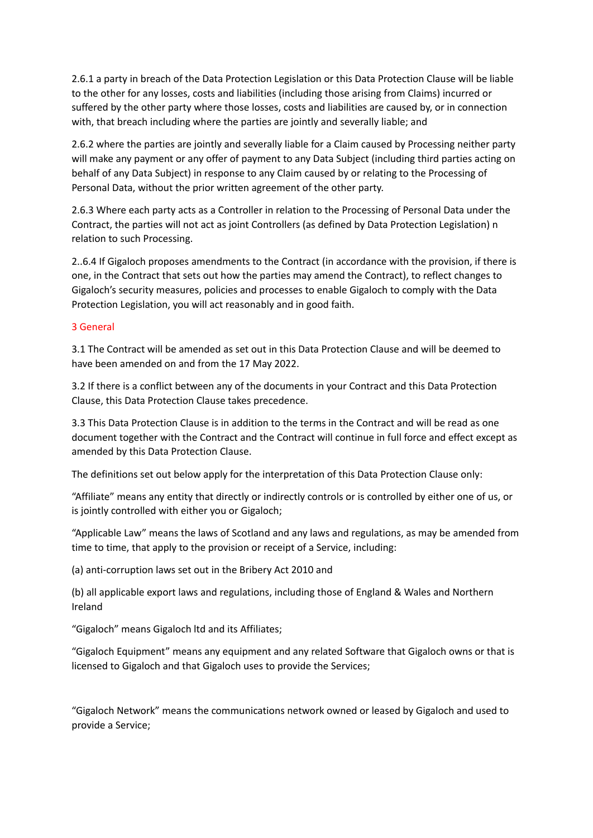2.6.1 a party in breach of the Data Protection Legislation or this Data Protection Clause will be liable to the other for any losses, costs and liabilities (including those arising from Claims) incurred or suffered by the other party where those losses, costs and liabilities are caused by, or in connection with, that breach including where the parties are jointly and severally liable; and

2.6.2 where the parties are jointly and severally liable for a Claim caused by Processing neither party will make any payment or any offer of payment to any Data Subject (including third parties acting on behalf of any Data Subject) in response to any Claim caused by or relating to the Processing of Personal Data, without the prior written agreement of the other party.

2.6.3 Where each party acts as a Controller in relation to the Processing of Personal Data under the Contract, the parties will not act as joint Controllers (as defined by Data Protection Legislation) n relation to such Processing.

2..6.4 If Gigaloch proposes amendments to the Contract (in accordance with the provision, if there is one, in the Contract that sets out how the parties may amend the Contract), to reflect changes to Gigaloch's security measures, policies and processes to enable Gigaloch to comply with the Data Protection Legislation, you will act reasonably and in good faith.

## 3 General

3.1 The Contract will be amended as set out in this Data Protection Clause and will be deemed to have been amended on and from the 17 May 2022.

3.2 If there is a conflict between any of the documents in your Contract and this Data Protection Clause, this Data Protection Clause takes precedence.

3.3 This Data Protection Clause is in addition to the terms in the Contract and will be read as one document together with the Contract and the Contract will continue in full force and effect except as amended by this Data Protection Clause.

The definitions set out below apply for the interpretation of this Data Protection Clause only:

"Affiliate" means any entity that directly or indirectly controls or is controlled by either one of us, or is jointly controlled with either you or Gigaloch;

"Applicable Law" means the laws of Scotland and any laws and regulations, as may be amended from time to time, that apply to the provision or receipt of a Service, including:

(a) anti-corruption laws set out in the Bribery Act 2010 and

(b) all applicable export laws and regulations, including those of England & Wales and Northern Ireland

"Gigaloch" means Gigaloch ltd and its Affiliates;

"Gigaloch Equipment" means any equipment and any related Software that Gigaloch owns or that is licensed to Gigaloch and that Gigaloch uses to provide the Services;

"Gigaloch Network" means the communications network owned or leased by Gigaloch and used to provide a Service;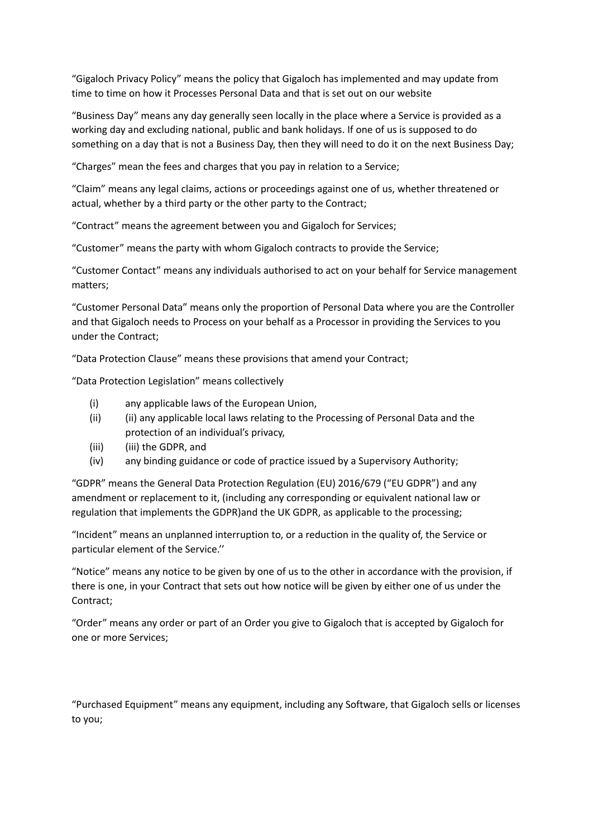"Gigaloch Privacy Policy" means the policy that Gigaloch has implemented and may update from time to time on how it Processes Personal Data and that is set out on our website

"Business Day" means any day generally seen locally in the place where a Service is provided as a working day and excluding national, public and bank holidays. If one of us is supposed to do something on a day that is not a Business Day, then they will need to do it on the next Business Day;

"Charges" mean the fees and charges that you pay in relation to a Service;

"Claim" means any legal claims, actions or proceedings against one of us, whether threatened or actual, whether by a third party or the other party to the Contract;

"Contract" means the agreement between you and Gigaloch for Services;

"Customer" means the party with whom Gigaloch contracts to provide the Service;

"Customer Contact" means any individuals authorised to act on your behalf for Service management matters;

"Customer Personal Data" means only the proportion of Personal Data where you are the Controller and that Gigaloch needs to Process on your behalf as a Processor in providing the Services to you under the Contract;

"Data Protection Clause" means these provisions that amend your Contract;

"Data Protection Legislation" means collectively

- (i) any applicable laws of the European Union,
- (ii) (ii) any applicable local laws relating to the Processing of Personal Data and the protection of an individual's privacy,
- (iii) (iii) the GDPR, and
- (iv) any binding guidance or code of practice issued by a Supervisory Authority;

"GDPR" means the General Data Protection Regulation (EU) 2016/679 ("EU GDPR") and any amendment or replacement to it, (including any corresponding or equivalent national law or regulation that implements the GDPR)and the UK GDPR, as applicable to the processing;

"Incident" means an unplanned interruption to, or a reduction in the quality of, the Service or particular element of the Service.''

"Notice" means any notice to be given by one of us to the other in accordance with the provision, if there is one, in your Contract that sets out how notice will be given by either one of us under the Contract;

"Order" means any order or part of an Order you give to Gigaloch that is accepted by Gigaloch for one or more Services;

"Purchased Equipment" means any equipment, including any Software, that Gigaloch sells or licenses to you;